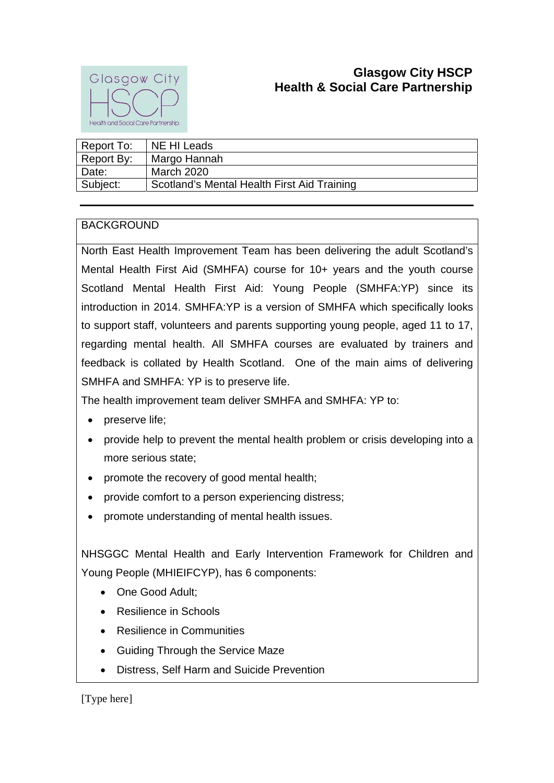

# **Glasgow City HSCP Health & Social Care Partnership**

| Report To: | NE HI Leads                                 |
|------------|---------------------------------------------|
| Report By: | Margo Hannah                                |
| Date:      | <b>March 2020</b>                           |
| Subject:   | Scotland's Mental Health First Aid Training |

### BACKGROUND

North East Health Improvement Team has been delivering the adult Scotland's Mental Health First Aid (SMHFA) course for 10+ years and the youth course Scotland Mental Health First Aid: Young People (SMHFA:YP) since its introduction in 2014. SMHFA:YP is a version of SMHFA which specifically looks to support staff, volunteers and parents supporting young people, aged 11 to 17, regarding mental health. All SMHFA courses are evaluated by trainers and feedback is collated by Health Scotland. One of the main aims of delivering SMHFA and SMHFA: YP is to preserve life.

The health improvement team deliver SMHFA and SMHFA: YP to:

- preserve life;
- provide help to prevent the mental health problem or crisis developing into a more serious state;
- promote the recovery of good mental health;
- provide comfort to a person experiencing distress;
- promote understanding of mental health issues.

NHSGGC Mental Health and Early Intervention Framework for Children and Young People (MHIEIFCYP), has 6 components:

- One Good Adult;
- Resilience in Schools
- Resilience in Communities
- Guiding Through the Service Maze
- Distress, Self Harm and Suicide Prevention

[Type here]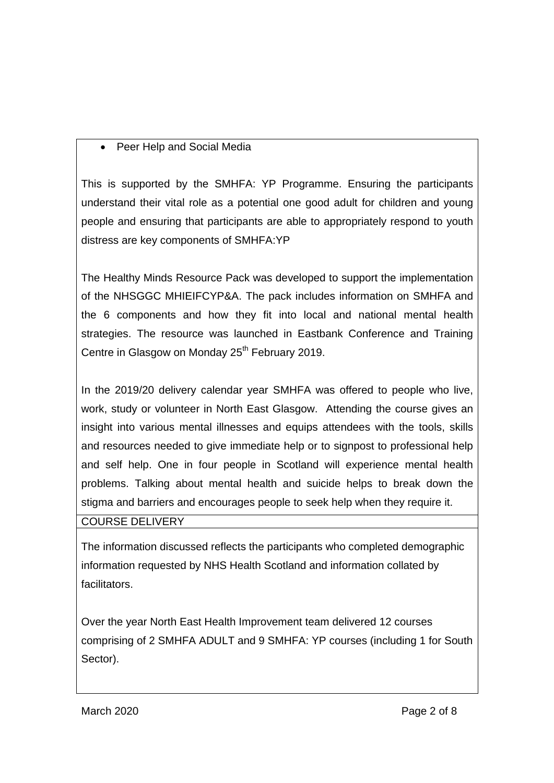# • Peer Help and Social Media

This is supported by the SMHFA: YP Programme. Ensuring the participants understand their vital role as a potential one good adult for children and young people and ensuring that participants are able to appropriately respond to youth distress are key components of SMHFA:YP

The Healthy Minds Resource Pack was developed to support the implementation of the NHSGGC MHIEIFCYP&A. The pack includes information on SMHFA and the 6 components and how they fit into local and national mental health strategies. The resource was launched in Eastbank Conference and Training Centre in Glasgow on Monday 25<sup>th</sup> February 2019.

In the 2019/20 delivery calendar year SMHFA was offered to people who live, work, study or volunteer in North East Glasgow. Attending the course gives an insight into various mental illnesses and equips attendees with the tools, skills and resources needed to give immediate help or to signpost to professional help and self help. One in four people in Scotland will experience mental health problems. Talking about mental health and suicide helps to break down the stigma and barriers and encourages people to seek help when they require it.

COURSE DELIVERY

The information discussed reflects the participants who completed demographic information requested by NHS Health Scotland and information collated by facilitators.

Over the year North East Health Improvement team delivered 12 courses comprising of 2 SMHFA ADULT and 9 SMHFA: YP courses (including 1 for South Sector).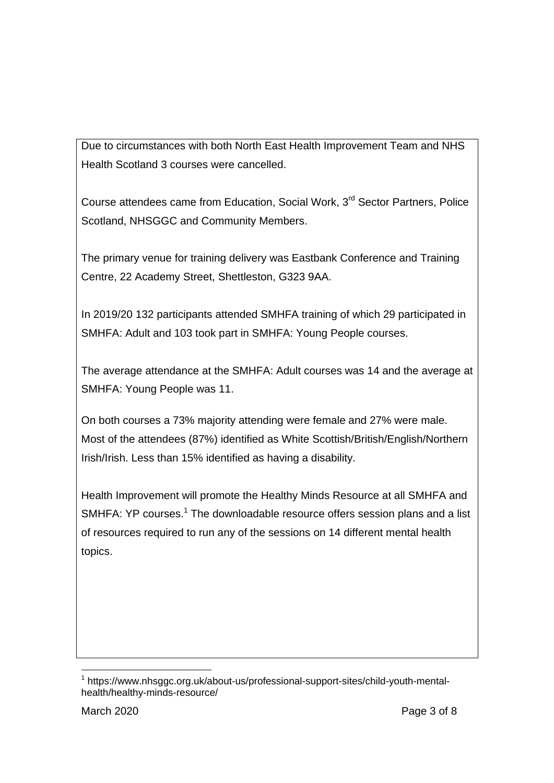Due to circumstances with both North East Health Improvement Team and NHS Health Scotland 3 courses were cancelled.

Course attendees came from Education, Social Work, 3rd Sector Partners, Police Scotland, NHSGGC and Community Members.

The primary venue for training delivery was Eastbank Conference and Training Centre, 22 Academy Street, Shettleston, G323 9AA.

In 2019/20 132 participants attended SMHFA training of which 29 participated in SMHFA: Adult and 103 took part in SMHFA: Young People courses.

The average attendance at the SMHFA: Adult courses was 14 and the average at SMHFA: Young People was 11.

On both courses a 73% majority attending were female and 27% were male. Most of the attendees (87%) identified as White Scottish/British/English/Northern Irish/Irish. Less than 15% identified as having a disability.

Health Improvement will promote the Healthy Minds Resource at all SMHFA and SMHFA: YP courses.<sup>1</sup> The downloadable resource offers session plans and a list of resources required to run any of the sessions on 14 different mental health topics.

-

<sup>&</sup>lt;sup>1</sup> https://www.nhsggc.org.uk/about-us/professional-support-sites/child-youth-mentalhealth/healthy-minds-resource/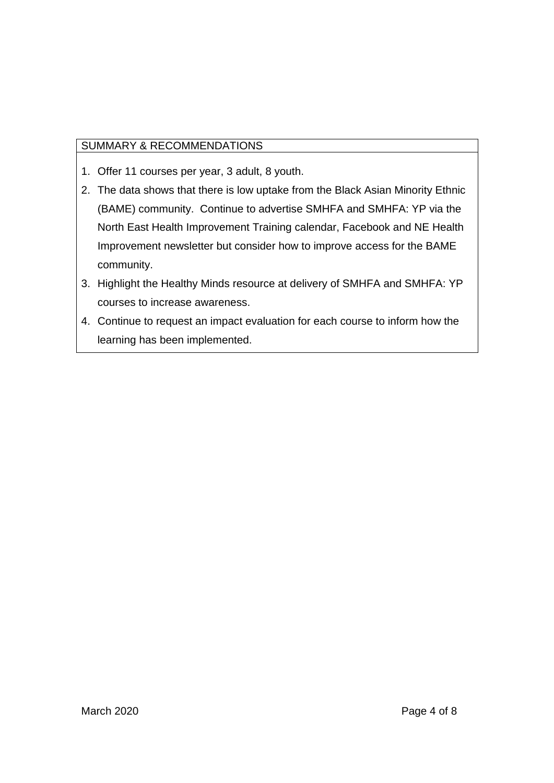## SUMMARY & RECOMMENDATIONS

- 1. Offer 11 courses per year, 3 adult, 8 youth.
- 2. The data shows that there is low uptake from the Black Asian Minority Ethnic (BAME) community. Continue to advertise SMHFA and SMHFA: YP via the North East Health Improvement Training calendar, Facebook and NE Health Improvement newsletter but consider how to improve access for the BAME community.
- 3. Highlight the Healthy Minds resource at delivery of SMHFA and SMHFA: YP courses to increase awareness.
- 4. Continue to request an impact evaluation for each course to inform how the learning has been implemented.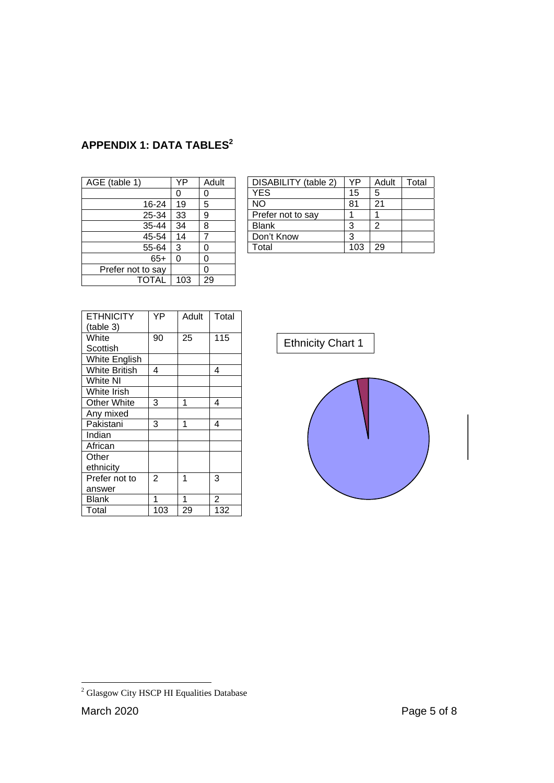# **APPENDIX 1: DATA TABLES2**

| AGE (table 1)     | YP  | Adult |
|-------------------|-----|-------|
|                   | 0   | 0     |
| 16-24             | 19  | 5     |
| 25-34             | 33  | 9     |
| 35-44             | 34  | 8     |
| 45-54             | 14  | 7     |
| 55-64             | 3   | 0     |
| $65+$             | 0   | 0     |
| Prefer not to say |     | 0     |
| <b>TOTAL</b>      | 103 | 29    |

| DISABILITY (table 2) | YΡ  | Adult | Total |
|----------------------|-----|-------|-------|
| <b>YES</b>           | 15  | 5     |       |
| NΟ                   | 81  | 21    |       |
| Prefer not to say    |     |       |       |
| <b>Blank</b>         | 3   | 2     |       |
| Don't Know           | 3   |       |       |
| Total                | 103 | 29    |       |

| <b>ETHNICITY</b>     | YP             | Adult | Total          |
|----------------------|----------------|-------|----------------|
| (table 3)            |                |       |                |
| <b>White</b>         | 90             | 25    | 115            |
| Scottish             |                |       |                |
| <b>White English</b> |                |       |                |
| <b>White British</b> | 4              |       | 4              |
| White NI             |                |       |                |
| White Irish          |                |       |                |
| <b>Other White</b>   | 3              | 1     | 4              |
| Any mixed            |                |       |                |
| Pakistani            | 3              | 1     | 4              |
| Indian               |                |       |                |
| African              |                |       |                |
| Other                |                |       |                |
| ethnicity            |                |       |                |
| Prefer not to        | $\overline{2}$ | 1     | 3              |
| answer               |                |       |                |
| Blank                | 1              | 1     | $\mathfrak{p}$ |
| Total                | 103            | 29    | 132            |

Ethnicity Chart 1



 2 Glasgow City HSCP HI Equalities Database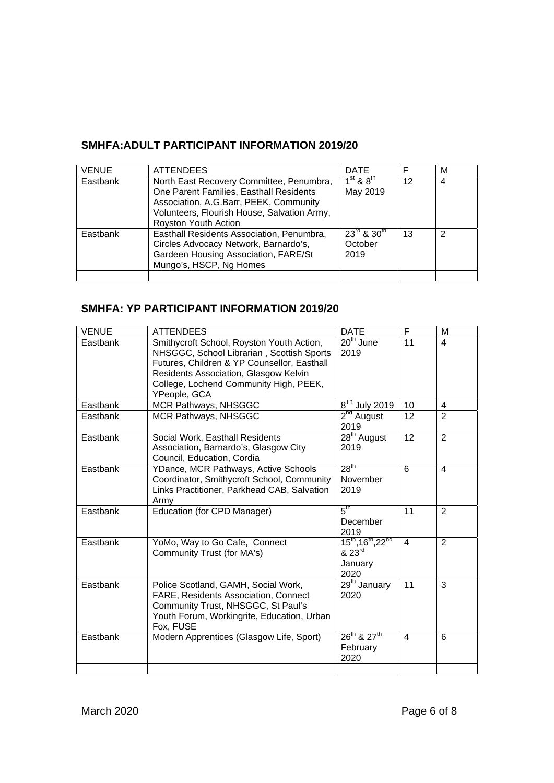### **SMHFA:ADULT PARTICIPANT INFORMATION 2019/20**

| <b>VENUE</b> | <b>ATTENDEES</b>                                                                                                                                      | <b>DATE</b>                                     |    | М |
|--------------|-------------------------------------------------------------------------------------------------------------------------------------------------------|-------------------------------------------------|----|---|
| Eastbank     | North East Recovery Committee, Penumbra,<br>One Parent Families, Easthall Residents<br>Association, A.G.Barr, PEEK, Community                         | $1st$ & $8th$<br>May 2019                       | 12 | 4 |
|              | Volunteers, Flourish House, Salvation Army,<br><b>Royston Youth Action</b>                                                                            |                                                 |    |   |
| Eastbank     | Easthall Residents Association, Penumbra,<br>Circles Advocacy Network, Barnardo's,<br>Gardeen Housing Association, FARE/St<br>Mungo's, HSCP, Ng Homes | $23^{rd}$ & 30 <sup>th</sup><br>October<br>2019 | 13 | 2 |
|              |                                                                                                                                                       |                                                 |    |   |

### **SMHFA: YP PARTICIPANT INFORMATION 2019/20**

| <b>VENUE</b> | <b>ATTENDEES</b>                                                                                                                                                                                                                         | <b>DATE</b>                                                    | F.                      | М              |
|--------------|------------------------------------------------------------------------------------------------------------------------------------------------------------------------------------------------------------------------------------------|----------------------------------------------------------------|-------------------------|----------------|
| Eastbank     | Smithycroft School, Royston Youth Action,<br>NHSGGC, School Librarian, Scottish Sports<br>Futures, Children & YP Counsellor, Easthall<br>Residents Association, Glasgow Kelvin<br>College, Lochend Community High, PEEK,<br>YPeople, GCA | 20 <sup>th</sup> June<br>2019                                  | 11                      | 4              |
| Eastbank     | MCR Pathways, NHSGGC                                                                                                                                                                                                                     | $8Th$ July 2019                                                | 10                      | 4              |
| Eastbank     | MCR Pathways, NHSGGC                                                                                                                                                                                                                     | $2nd$ August<br>2019                                           | 12                      | $\overline{2}$ |
| Eastbank     | Social Work, Easthall Residents<br>Association, Barnardo's, Glasgow City<br>Council, Education, Cordia                                                                                                                                   | 28 <sup>th</sup> August<br>2019                                | 12                      | $\overline{2}$ |
| Eastbank     | YDance, MCR Pathways, Active Schools<br>Coordinator, Smithycroft School, Community<br>Links Practitioner, Parkhead CAB, Salvation<br>Army                                                                                                | 28 <sup>th</sup><br>November<br>2019                           | 6                       | 4              |
| Eastbank     | Education (for CPD Manager)                                                                                                                                                                                                              | $5^{\text{th}}$<br>December<br>2019                            | 11                      | $\overline{2}$ |
| Eastbank     | YoMo, Way to Go Cafe, Connect<br>Community Trust (for MA's)                                                                                                                                                                              | $15^{th}$ , $16^{th}$ , $22^{nd}$<br>& 23rd<br>January<br>2020 | 4                       | $\overline{2}$ |
| Eastbank     | Police Scotland, GAMH, Social Work,<br>FARE, Residents Association, Connect<br>Community Trust, NHSGGC, St Paul's<br>Youth Forum, Workingrite, Education, Urban<br>Fox, FUSE                                                             | 29 <sup>th</sup> January<br>2020                               | 11                      | 3              |
| Eastbank     | Modern Apprentices (Glasgow Life, Sport)                                                                                                                                                                                                 | $26^{th}$ & $27^{th}$<br>February<br>2020                      | $\overline{\mathbf{A}}$ | 6              |
|              |                                                                                                                                                                                                                                          |                                                                |                         |                |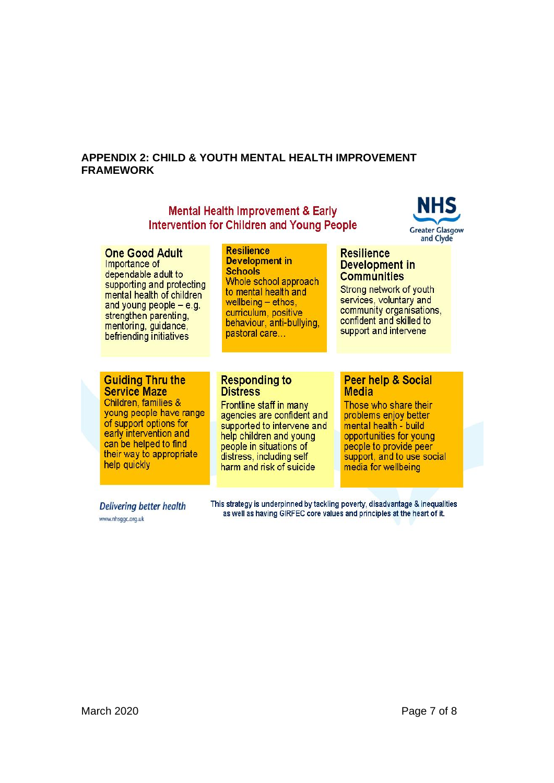### **APPENDIX 2: CHILD & YOUTH MENTAL HEALTH IMPROVEMENT FRAMEWORK**

### **Mental Health Improvement & Early** Intervention for Children and Young People



#### **One Good Adult**

Importance of dependable adult to supporting and protecting mental health of children and young people  $-$  e.g. strengthen parenting, mentoring, guidance, befriending initiatives

**Resilience** Development in **Schools** Whole school approach to mental health and wellbeing - ethos, curriculum, positive behaviour, anti-bullying, pastoral care...

#### **Resilience** Development in **Communities**

Strong network of youth services, voluntary and community organisations, confident and skilled to support and intervene

#### **Guiding Thru the Service Maze**

Children, families & young people have range of support options for early intervention and can be helped to find their way to appropriate help quickly

#### **Responding to Distress**

Frontline staff in many agencies are confident and supported to intervene and help children and young people in situations of distress, including self harm and risk of suicide

#### Peer help & Social **Media**

Those who share their problems enjoy better mental health - build opportunities for young people to provide peer support, and to use social media for wellbeing

#### **Delivering better health** www.nhsggc.org.uk

This strategy is underpinned by tackling poverty, disadvantage & inequalities as well as having GIRFEC core values and principles at the heart of it.